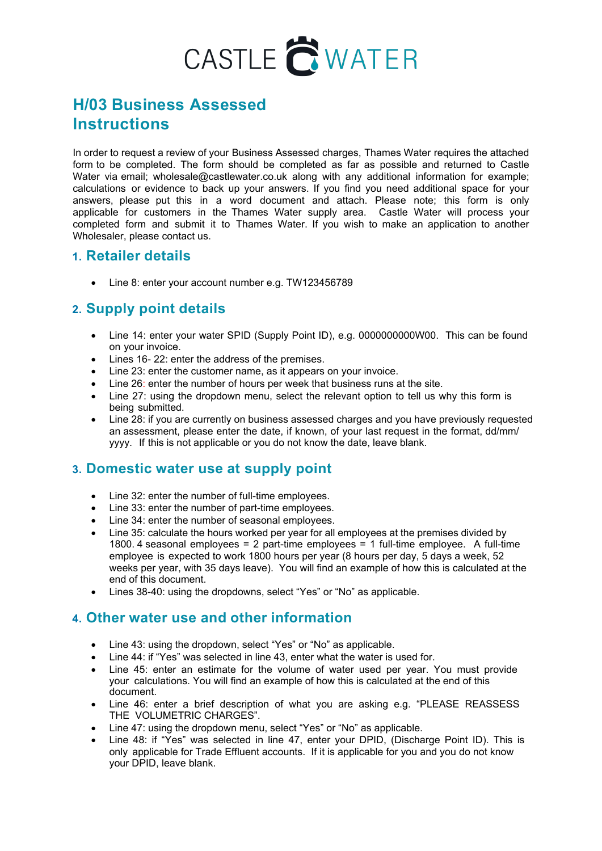# CASTLE CWATER

# **H/03 Business Assessed Instructions**

In order to request a review of your Business Assessed charges, Thames Water requires the attached form to be completed. The form should be completed as far as possible and returned to Castle Water via email; wholesale@castlewater.co.uk along with any additional information for example; calculations or evidence to back up your answers. If you find you need additional space for your answers, please put this in a word document and attach. Please note; this form is only applicable for customers in the Thames Water supply area. Castle Water will process your completed form and submit it to Thames Water. If you wish to make an application to another Wholesaler, please contact us.

#### **1. Retailer details**

• Line 8: enter your account number e.g. TW123456789

# **2. Supply point details**

- Line 14: enter your water SPID (Supply Point ID), e.g. 00000000000000. This can be found on your invoice.
- Lines 16- 22: enter the address of the premises.
- Line 23: enter the customer name, as it appears on your invoice.
- Line 26: enter the number of hours per week that business runs at the site.
- Line 27: using the dropdown menu, select the relevant option to tell us why this form is being submitted.
- Line 28: if you are currently on business assessed charges and you have previously requested an assessment, please enter the date, if known, of your last request in the format, dd/mm/ yyyy. If this is not applicable or you do not know the date, leave blank.

#### **3. Domestic water use at supply point**

- Line 32: enter the number of full-time employees.
- Line 33: enter the number of part-time employees.
- Line 34: enter the number of seasonal employees.
- Line 35: calculate the hours worked per year for all employees at the premises divided by 1800. 4 seasonal employees = 2 part-time employees = 1 full-time employee. A full-time employee is expected to work 1800 hours per year (8 hours per day, 5 days a week, 52 weeks per year, with 35 days leave). You will find an example of how this is calculated at the end of this document.
- Lines 38-40: using the dropdowns, select "Yes" or "No" as applicable.

#### **4. Other water use and other information**

- Line 43: using the dropdown, select "Yes" or "No" as applicable.
- Line 44: if "Yes" was selected in line 43, enter what the water is used for.
- Line 45: enter an estimate for the volume of water used per year. You must provide your calculations. You will find an example of how this is calculated at the end of this document.
- Line 46: enter a brief description of what you are asking e.g. "PLEASE REASSESS THE VOLUMETRIC CHARGES".
- Line 47: using the dropdown menu, select "Yes" or "No" as applicable.
- Line 48: if "Yes" was selected in line 47, enter your DPID, (Discharge Point ID). This is only applicable for Trade Effluent accounts. If it is applicable for you and you do not know your DPID, leave blank.